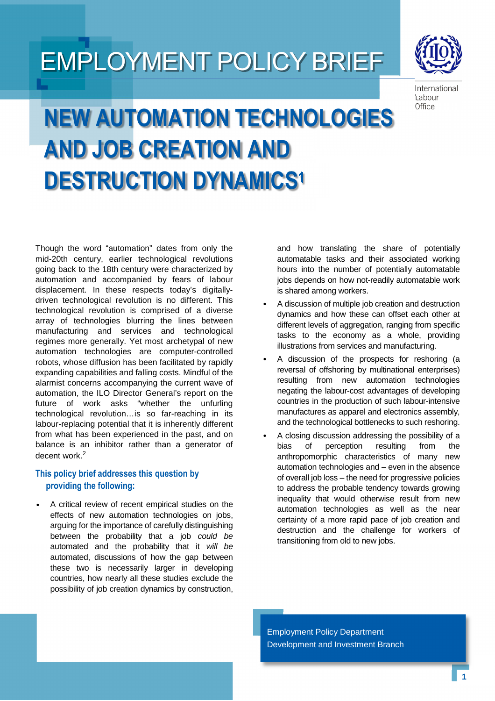## EMPLOYMENT POLICY BRIEF



International Labour Office

# **NEW AUTOMATION TECHNOLOGIES AND JOB CREATION AND DESTRUCTION DYNAMICS1**

Though the word "automation" dates from only the mid-20th century, earlier technological revolutions going back to the 18th century were characterized by automation and accompanied by fears of labour displacement. In these respects today's digitallydriven technological revolution is no different. This technological revolution is comprised of a diverse array of technologies blurring the lines between manufacturing and services and technological regimes more generally. Yet most archetypal of new automation technologies are computer-controlled robots, whose diffusion has been facilitated by rapidly expanding capabilities and falling costs. Mindful of the alarmist concerns accompanying the current wave of automation, the ILO Director General's report on the future of work asks "whether the unfurling technological revolution…is so far-reaching in its labour-replacing potential that it is inherently different from what has been experienced in the past, and on balance is an inhibitor rather than a generator of decent work.<sup>2</sup>

## **This policy brief addresses this question by providing the following:**

• A critical review of recent empirical studies on the effects of new automation technologies on jobs, arguing for the importance of carefully distinguishing between the probability that a job could be automated and the probability that it will be automated, discussions of how the gap between these two is necessarily larger in developing countries, how nearly all these studies exclude the possibility of job creation dynamics by construction,

and how translating the share of potentially automatable tasks and their associated working hours into the number of potentially automatable jobs depends on how not-readily automatable work is shared among workers.

- A discussion of multiple job creation and destruction dynamics and how these can offset each other at different levels of aggregation, ranging from specific tasks to the economy as a whole, providing illustrations from services and manufacturing.
- A discussion of the prospects for reshoring (a reversal of offshoring by multinational enterprises) resulting from new automation technologies negating the labour-cost advantages of developing countries in the production of such labour-intensive manufactures as apparel and electronics assembly, and the technological bottlenecks to such reshoring.
- A closing discussion addressing the possibility of a bias of perception resulting from the anthropomorphic characteristics of many new automation technologies and – even in the absence of overall job loss – the need for progressive policies to address the probable tendency towards growing inequality that would otherwise result from new automation technologies as well as the near certainty of a more rapid pace of job creation and destruction and the challenge for workers of transitioning from old to new jobs.

Employment Policy Department Development and Investment Branch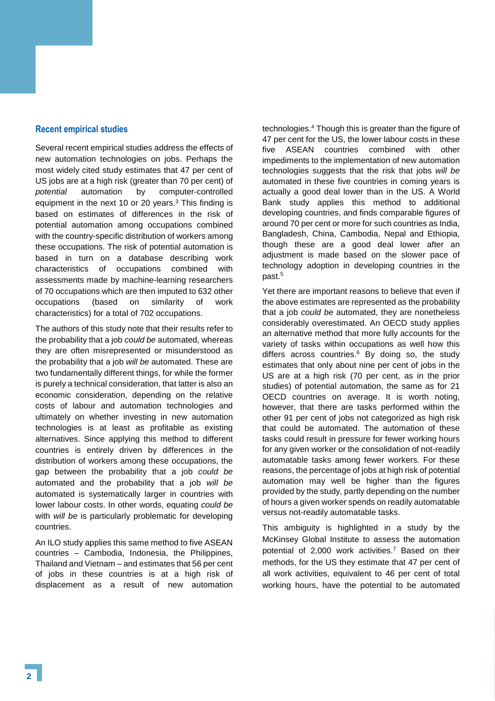#### **Recent empirical studies**

Several recent empirical studies address the effects of new automation technologies on jobs. Perhaps the most widely cited study estimates that 47 per cent of US jobs are at a high risk (greater than 70 per cent) of potential automation by computer-controlled equipment in the next 10 or 20 years.<sup>3</sup> This finding is based on estimates of differences in the risk of potential automation among occupations combined with the country-specific distribution of workers among these occupations. The risk of potential automation is based in turn on a database describing work characteristics of occupations combined with assessments made by machine-learning researchers of 70 occupations which are then imputed to 632 other occupations (based on similarity of work characteristics) for a total of 702 occupations.

The authors of this study note that their results refer to the probability that a job could be automated, whereas they are often misrepresented or misunderstood as the probability that a job will be automated. These are two fundamentally different things, for while the former is purely a technical consideration, that latter is also an economic consideration, depending on the relative costs of labour and automation technologies and ultimately on whether investing in new automation technologies is at least as profitable as existing alternatives. Since applying this method to different countries is entirely driven by differences in the distribution of workers among these occupations, the gap between the probability that a job could be automated and the probability that a job will be automated is systematically larger in countries with lower labour costs. In other words, equating could be with *will be* is particularly problematic for developing countries.

An ILO study applies this same method to five ASEAN countries – Cambodia, Indonesia, the Philippines, Thailand and Vietnam – and estimates that 56 per cent of jobs in these countries is at a high risk of displacement as a result of new automation

technologies.<sup>4</sup> Though this is greater than the figure of 47 per cent for the US, the lower labour costs in these five ASEAN countries combined with other impediments to the implementation of new automation technologies suggests that the risk that jobs will be automated in these five countries in coming years is actually a good deal lower than in the US. A World Bank study applies this method to additional developing countries, and finds comparable figures of around 70 per cent or more for such countries as India, Bangladesh, China, Cambodia, Nepal and Ethiopia, though these are a good deal lower after an adjustment is made based on the slower pace of technology adoption in developing countries in the past.<sup>5</sup>

Yet there are important reasons to believe that even if the above estimates are represented as the probability that a job could be automated, they are nonetheless considerably overestimated. An OECD study applies an alternative method that more fully accounts for the variety of tasks within occupations as well how this differs across countries.<sup>6</sup> By doing so, the study estimates that only about nine per cent of jobs in the US are at a high risk (70 per cent, as in the prior studies) of potential automation, the same as for 21 OECD countries on average. It is worth noting, however, that there are tasks performed within the other 91 per cent of jobs not categorized as high risk that could be automated. The automation of these tasks could result in pressure for fewer working hours for any given worker or the consolidation of not-readily automatable tasks among fewer workers. For these reasons, the percentage of jobs at high risk of potential automation may well be higher than the figures provided by the study, partly depending on the number of hours a given worker spends on readily automatable versus not-readily automatable tasks.

This ambiguity is highlighted in a study by the McKinsey Global Institute to assess the automation potential of 2,000 work activities.<sup>7</sup> Based on their methods, for the US they estimate that 47 per cent of all work activities, equivalent to 46 per cent of total working hours, have the potential to be automated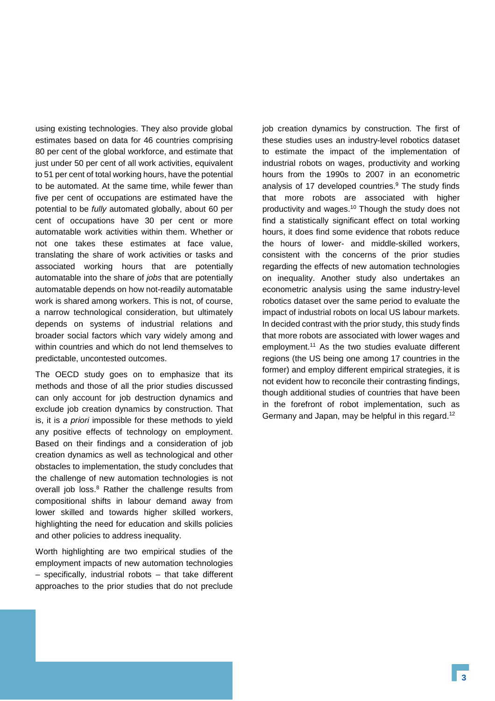using existing technologies. They also provide global estimates based on data for 46 countries comprising 80 per cent of the global workforce, and estimate that just under 50 per cent of all work activities, equivalent to 51 per cent of total working hours, have the potential to be automated. At the same time, while fewer than five per cent of occupations are estimated have the potential to be fully automated globally, about 60 per cent of occupations have 30 per cent or more automatable work activities within them. Whether or not one takes these estimates at face value, translating the share of work activities or tasks and associated working hours that are potentially automatable into the share of jobs that are potentially automatable depends on how not-readily automatable work is shared among workers. This is not, of course, a narrow technological consideration, but ultimately depends on systems of industrial relations and broader social factors which vary widely among and within countries and which do not lend themselves to predictable, uncontested outcomes.

The OECD study goes on to emphasize that its methods and those of all the prior studies discussed can only account for job destruction dynamics and exclude job creation dynamics by construction. That is, it is a priori impossible for these methods to yield any positive effects of technology on employment. Based on their findings and a consideration of job creation dynamics as well as technological and other obstacles to implementation, the study concludes that the challenge of new automation technologies is not overall job loss.<sup>8</sup> Rather the challenge results from compositional shifts in labour demand away from lower skilled and towards higher skilled workers, highlighting the need for education and skills policies and other policies to address inequality.

Worth highlighting are two empirical studies of the employment impacts of new automation technologies – specifically, industrial robots – that take different approaches to the prior studies that do not preclude job creation dynamics by construction. The first of these studies uses an industry-level robotics dataset to estimate the impact of the implementation of industrial robots on wages, productivity and working hours from the 1990s to 2007 in an econometric analysis of 17 developed countries.<sup>9</sup> The study finds that more robots are associated with higher productivity and wages.<sup>10</sup> Though the study does not find a statistically significant effect on total working hours, it does find some evidence that robots reduce the hours of lower- and middle-skilled workers, consistent with the concerns of the prior studies regarding the effects of new automation technologies on inequality. Another study also undertakes an econometric analysis using the same industry-level robotics dataset over the same period to evaluate the impact of industrial robots on local US labour markets. In decided contrast with the prior study, this study finds that more robots are associated with lower wages and employment.<sup>11</sup> As the two studies evaluate different regions (the US being one among 17 countries in the former) and employ different empirical strategies, it is not evident how to reconcile their contrasting findings, though additional studies of countries that have been in the forefront of robot implementation, such as Germany and Japan, may be helpful in this regard.<sup>12</sup>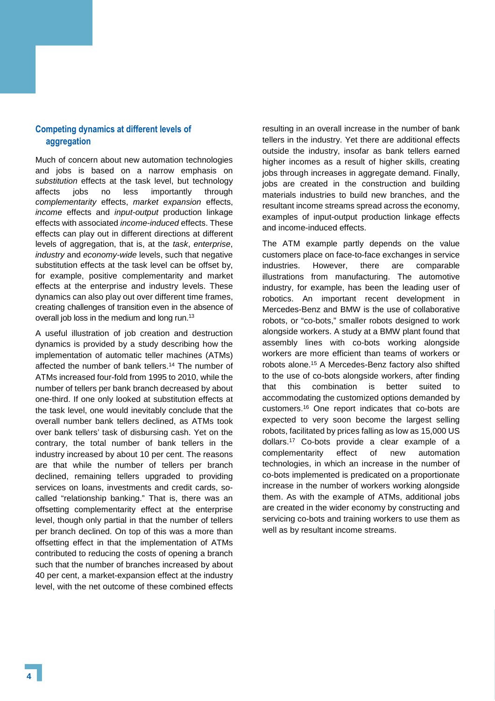## **Competing dynamics at different levels of aggregation**

Much of concern about new automation technologies and jobs is based on a narrow emphasis on substitution effects at the task level, but technology affects jobs no less importantly through complementarity effects, market expansion effects, income effects and input-output production linkage effects with associated income-induced effects. These effects can play out in different directions at different levels of aggregation, that is, at the task, enterprise, industry and economy-wide levels, such that negative substitution effects at the task level can be offset by, for example, positive complementarity and market effects at the enterprise and industry levels. These dynamics can also play out over different time frames, creating challenges of transition even in the absence of overall job loss in the medium and long run.<sup>13</sup>

A useful illustration of job creation and destruction dynamics is provided by a study describing how the implementation of automatic teller machines (ATMs) affected the number of bank tellers.<sup>14</sup> The number of ATMs increased four-fold from 1995 to 2010, while the number of tellers per bank branch decreased by about one-third. If one only looked at substitution effects at the task level, one would inevitably conclude that the overall number bank tellers declined, as ATMs took over bank tellers' task of disbursing cash. Yet on the contrary, the total number of bank tellers in the industry increased by about 10 per cent. The reasons are that while the number of tellers per branch declined, remaining tellers upgraded to providing services on loans, investments and credit cards, socalled "relationship banking." That is, there was an offsetting complementarity effect at the enterprise level, though only partial in that the number of tellers per branch declined. On top of this was a more than offsetting effect in that the implementation of ATMs contributed to reducing the costs of opening a branch such that the number of branches increased by about 40 per cent, a market-expansion effect at the industry level, with the net outcome of these combined effects

resulting in an overall increase in the number of bank tellers in the industry. Yet there are additional effects outside the industry, insofar as bank tellers earned higher incomes as a result of higher skills, creating jobs through increases in aggregate demand. Finally, jobs are created in the construction and building materials industries to build new branches, and the resultant income streams spread across the economy, examples of input-output production linkage effects and income-induced effects.

The ATM example partly depends on the value customers place on face-to-face exchanges in service industries. However, there are comparable illustrations from manufacturing. The automotive industry, for example, has been the leading user of robotics. An important recent development in Mercedes-Benz and BMW is the use of collaborative robots, or "co-bots," smaller robots designed to work alongside workers. A study at a BMW plant found that assembly lines with co-bots working alongside workers are more efficient than teams of workers or robots alone.<sup>15</sup> A Mercedes-Benz factory also shifted to the use of co-bots alongside workers, after finding that this combination is better suited to accommodating the customized options demanded by customers.<sup>16</sup> One report indicates that co-bots are expected to very soon become the largest selling robots, facilitated by prices falling as low as 15,000 US dollars.<sup>17</sup> Co-bots provide a clear example of a complementarity effect of new automation technologies, in which an increase in the number of co-bots implemented is predicated on a proportionate increase in the number of workers working alongside them. As with the example of ATMs, additional jobs are created in the wider economy by constructing and servicing co-bots and training workers to use them as well as by resultant income streams.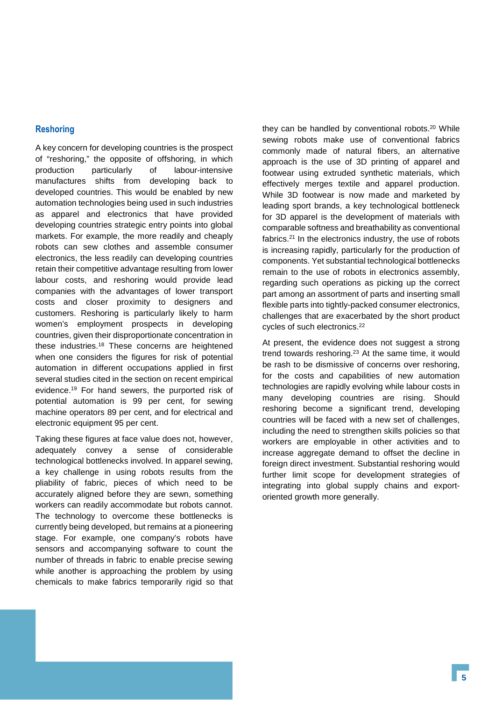### **Reshoring**

A key concern for developing countries is the prospect of "reshoring," the opposite of offshoring, in which production particularly of labour-intensive manufactures shifts from developing back to developed countries. This would be enabled by new automation technologies being used in such industries as apparel and electronics that have provided developing countries strategic entry points into global markets. For example, the more readily and cheaply robots can sew clothes and assemble consumer electronics, the less readily can developing countries retain their competitive advantage resulting from lower labour costs, and reshoring would provide lead companies with the advantages of lower transport costs and closer proximity to designers and customers. Reshoring is particularly likely to harm women's employment prospects in developing countries, given their disproportionate concentration in these industries.<sup>18</sup> These concerns are heightened when one considers the figures for risk of potential automation in different occupations applied in first several studies cited in the section on recent empirical evidence.<sup>19</sup> For hand sewers, the purported risk of potential automation is 99 per cent, for sewing machine operators 89 per cent, and for electrical and electronic equipment 95 per cent.

Taking these figures at face value does not, however, adequately convey a sense of considerable technological bottlenecks involved. In apparel sewing, a key challenge in using robots results from the pliability of fabric, pieces of which need to be accurately aligned before they are sewn, something workers can readily accommodate but robots cannot. The technology to overcome these bottlenecks is currently being developed, but remains at a pioneering stage. For example, one company's robots have sensors and accompanying software to count the number of threads in fabric to enable precise sewing while another is approaching the problem by using chemicals to make fabrics temporarily rigid so that

they can be handled by conventional robots.<sup>20</sup> While sewing robots make use of conventional fabrics commonly made of natural fibers, an alternative approach is the use of 3D printing of apparel and footwear using extruded synthetic materials, which effectively merges textile and apparel production. While 3D footwear is now made and marketed by leading sport brands, a key technological bottleneck for 3D apparel is the development of materials with comparable softness and breathability as conventional fabrics.<sup>21</sup> In the electronics industry, the use of robots is increasing rapidly, particularly for the production of components. Yet substantial technological bottlenecks remain to the use of robots in electronics assembly, regarding such operations as picking up the correct part among an assortment of parts and inserting small flexible parts into tightly-packed consumer electronics, challenges that are exacerbated by the short product cycles of such electronics.<sup>22</sup>

At present, the evidence does not suggest a strong trend towards reshoring.<sup>23</sup> At the same time, it would be rash to be dismissive of concerns over reshoring, for the costs and capabilities of new automation technologies are rapidly evolving while labour costs in many developing countries are rising. Should reshoring become a significant trend, developing countries will be faced with a new set of challenges, including the need to strengthen skills policies so that workers are employable in other activities and to increase aggregate demand to offset the decline in foreign direct investment. Substantial reshoring would further limit scope for development strategies of integrating into global supply chains and exportoriented growth more generally.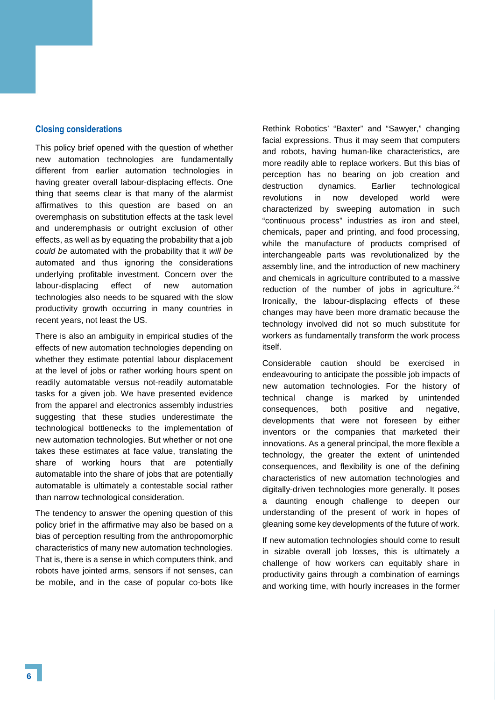#### **Closing considerations**

This policy brief opened with the question of whether new automation technologies are fundamentally different from earlier automation technologies in having greater overall labour-displacing effects. One thing that seems clear is that many of the alarmist affirmatives to this question are based on an overemphasis on substitution effects at the task level and underemphasis or outright exclusion of other effects, as well as by equating the probability that a job could be automated with the probability that it will be automated and thus ignoring the considerations underlying profitable investment. Concern over the labour-displacing effect of new automation technologies also needs to be squared with the slow productivity growth occurring in many countries in recent years, not least the US.

There is also an ambiguity in empirical studies of the effects of new automation technologies depending on whether they estimate potential labour displacement at the level of jobs or rather working hours spent on readily automatable versus not-readily automatable tasks for a given job. We have presented evidence from the apparel and electronics assembly industries suggesting that these studies underestimate the technological bottlenecks to the implementation of new automation technologies. But whether or not one takes these estimates at face value, translating the share of working hours that are potentially automatable into the share of jobs that are potentially automatable is ultimately a contestable social rather than narrow technological consideration.

The tendency to answer the opening question of this policy brief in the affirmative may also be based on a bias of perception resulting from the anthropomorphic characteristics of many new automation technologies. That is, there is a sense in which computers think, and robots have jointed arms, sensors if not senses, can be mobile, and in the case of popular co-bots like

Rethink Robotics' "Baxter" and "Sawyer," changing facial expressions. Thus it may seem that computers and robots, having human-like characteristics, are more readily able to replace workers. But this bias of perception has no bearing on job creation and destruction dynamics. Earlier technological revolutions in now developed world were characterized by sweeping automation in such "continuous process" industries as iron and steel, chemicals, paper and printing, and food processing, while the manufacture of products comprised of interchangeable parts was revolutionalized by the assembly line, and the introduction of new machinery and chemicals in agriculture contributed to a massive reduction of the number of jobs in agriculture. $24$ Ironically, the labour-displacing effects of these changes may have been more dramatic because the technology involved did not so much substitute for workers as fundamentally transform the work process itself.

Considerable caution should be exercised in endeavouring to anticipate the possible job impacts of new automation technologies. For the history of technical change is marked by unintended consequences, both positive and negative, developments that were not foreseen by either inventors or the companies that marketed their innovations. As a general principal, the more flexible a technology, the greater the extent of unintended consequences, and flexibility is one of the defining characteristics of new automation technologies and digitally-driven technologies more generally. It poses a daunting enough challenge to deepen our understanding of the present of work in hopes of gleaning some key developments of the future of work.

If new automation technologies should come to result in sizable overall job losses, this is ultimately a challenge of how workers can equitably share in productivity gains through a combination of earnings and working time, with hourly increases in the former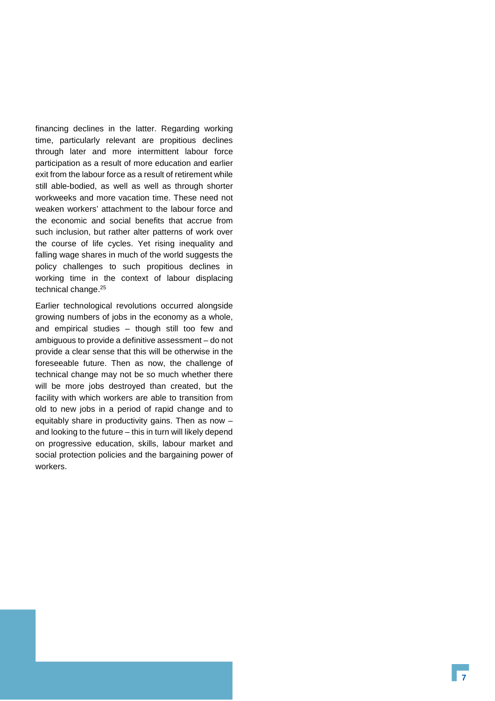financing declines in the latter. Regarding working time, particularly relevant are propitious declines through later and more intermittent labour force participation as a result of more education and earlier exit from the labour force as a result of retirement while still able-bodied, as well as well as through shorter workweeks and more vacation time. These need not weaken workers' attachment to the labour force and the economic and social benefits that accrue from such inclusion, but rather alter patterns of work over the course of life cycles. Yet rising inequality and falling wage shares in much of the world suggests the policy challenges to such propitious declines in working time in the context of labour displacing technical change.<sup>25</sup>

Earlier technological revolutions occurred alongside growing numbers of jobs in the economy as a whole, and empirical studies – though still too few and ambiguous to provide a definitive assessment – do not provide a clear sense that this will be otherwise in the foreseeable future. Then as now, the challenge of technical change may not be so much whether there will be more jobs destroyed than created, but the facility with which workers are able to transition from old to new jobs in a period of rapid change and to equitably share in productivity gains. Then as now – and looking to the future – this in turn will likely depend on progressive education, skills, labour market and social protection policies and the bargaining power of workers.